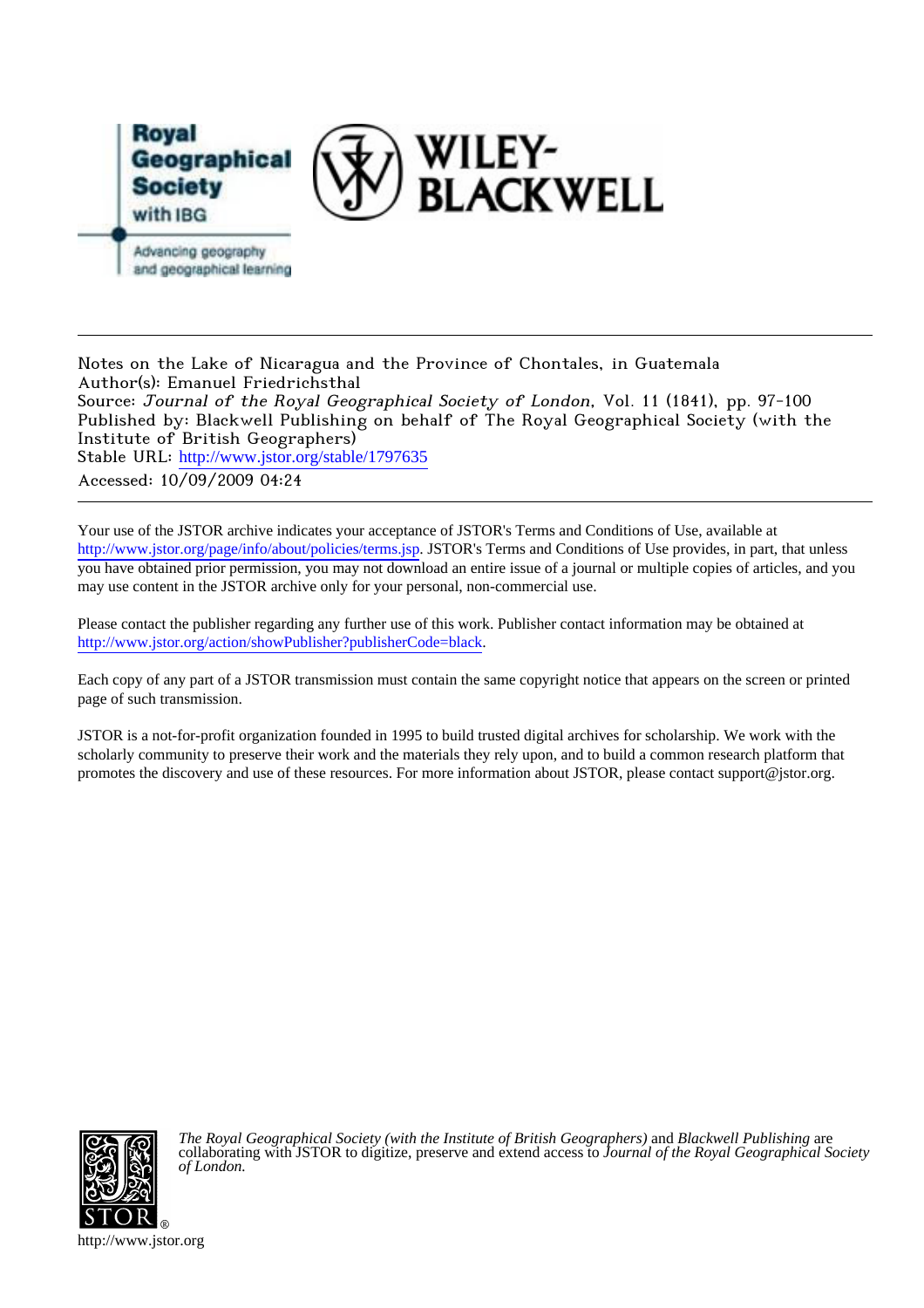

Notes on the Lake of Nicaragua and the Province of Chontales, in Guatemala Author(s): Emanuel Friedrichsthal Source: Journal of the Royal Geographical Society of London, Vol. 11 (1841), pp. 97-100 Published by: Blackwell Publishing on behalf of The Royal Geographical Society (with the Institute of British Geographers) Stable URL: [http://www.jstor.org/stable/1797635](http://www.jstor.org/stable/1797635?origin=JSTOR-pdf) Accessed: 10/09/2009 04:24

Your use of the JSTOR archive indicates your acceptance of JSTOR's Terms and Conditions of Use, available at <http://www.jstor.org/page/info/about/policies/terms.jsp>. JSTOR's Terms and Conditions of Use provides, in part, that unless you have obtained prior permission, you may not download an entire issue of a journal or multiple copies of articles, and you may use content in the JSTOR archive only for your personal, non-commercial use.

Please contact the publisher regarding any further use of this work. Publisher contact information may be obtained at [http://www.jstor.org/action/showPublisher?publisherCode=black.](http://www.jstor.org/action/showPublisher?publisherCode=black)

Each copy of any part of a JSTOR transmission must contain the same copyright notice that appears on the screen or printed page of such transmission.

JSTOR is a not-for-profit organization founded in 1995 to build trusted digital archives for scholarship. We work with the scholarly community to preserve their work and the materials they rely upon, and to build a common research platform that promotes the discovery and use of these resources. For more information about JSTOR, please contact support@jstor.org.



*The Royal Geographical Society (with the Institute of British Geographers)* and *Blackwell Publishing* are collaborating with JSTOR to digitize, preserve and extend access to *Journal of the Royal Geographical Society of London.*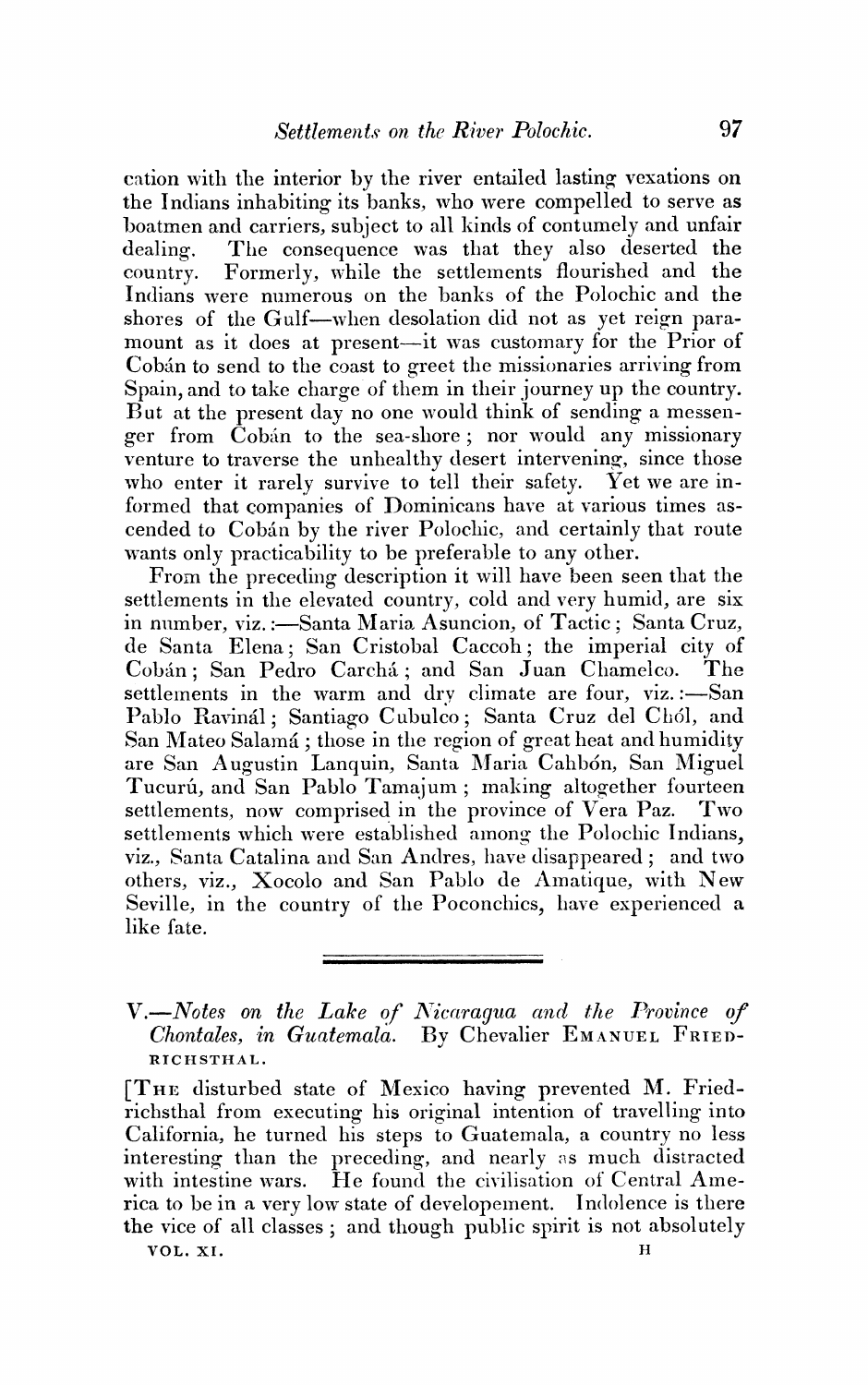eation with the interior by the river entailed lasting vexations on the Indians inhabiting its banks, who were compelled to serve as boatmen and carriers, subject to all kinds of contumely and unfair The consequence was that they also deserted the dealing. Formerly, while the settlements flourished and the country. Indians were numerous on the banks of the Polochic and the shores of the Gulf-when desolation did not as yet reign paramount as it does at present-it was customary for the Prior of Cobán to send to the coast to greet the missionaries arriving from Spain, and to take charge of them in their journey up the country. But at the present day no one would think of sending a messenger from Cobán to the sea-shore; nor would any missionary venture to traverse the unhealthy desert intervening, since those who enter it rarely survive to tell their safety. Yet we are informed that companies of Dominicans have at various times ascended to Cobán by the river Polochic, and certainly that route wants only practicability to be preferable to any other.

From the preceding description it will have been seen that the settlements in the elevated country, cold and very humid, are six in number, viz.:-Santa Maria Asuncion, of Tactic; Santa Cruz, de Santa Elena; San Cristobal Caccoh; the imperial city of Cobán; San Pedro Carchá; and San Juan Chamelco.  $\rm The$ settlements in the warm and dry climate are four, viz.:-San Pablo Ravinál; Santiago Cubulco; Santa Cruz del Chól, and San Mateo Salamá; those in the region of great heat and humidity are San Augustin Lanquin, Santa Maria Cahbón, San Miguel Tucurú, and San Pablo Tamajum; making altogether fourteen settlements, now comprised in the province of Vera Paz. Two settlements which were established among the Polochic Indians, viz., Santa Catalina and San Andres, have disappeared; and two others, viz., Xocolo and San Pablo de Amatique, with New Seville, in the country of the Poconchics, have experienced a like fate.

V.-Notes on the Lake of Nicaragua and the Province of Chontales, in Guatemala. By Chevalier EMANUEL FRIED-RICHSTHAL.

[THE disturbed state of Mexico having prevented M. Friedrichsthal from executing his original intention of travelling into California, he turned his steps to Guatemala, a country no less interesting than the preceding, and nearly as much distracted with intestine wars. He found the civilisation of Central America to be in a very low state of developement. Indolence is there the vice of all classes; and though public spirit is not absolutely VOL. XI.  $\overline{\mathbf{H}}$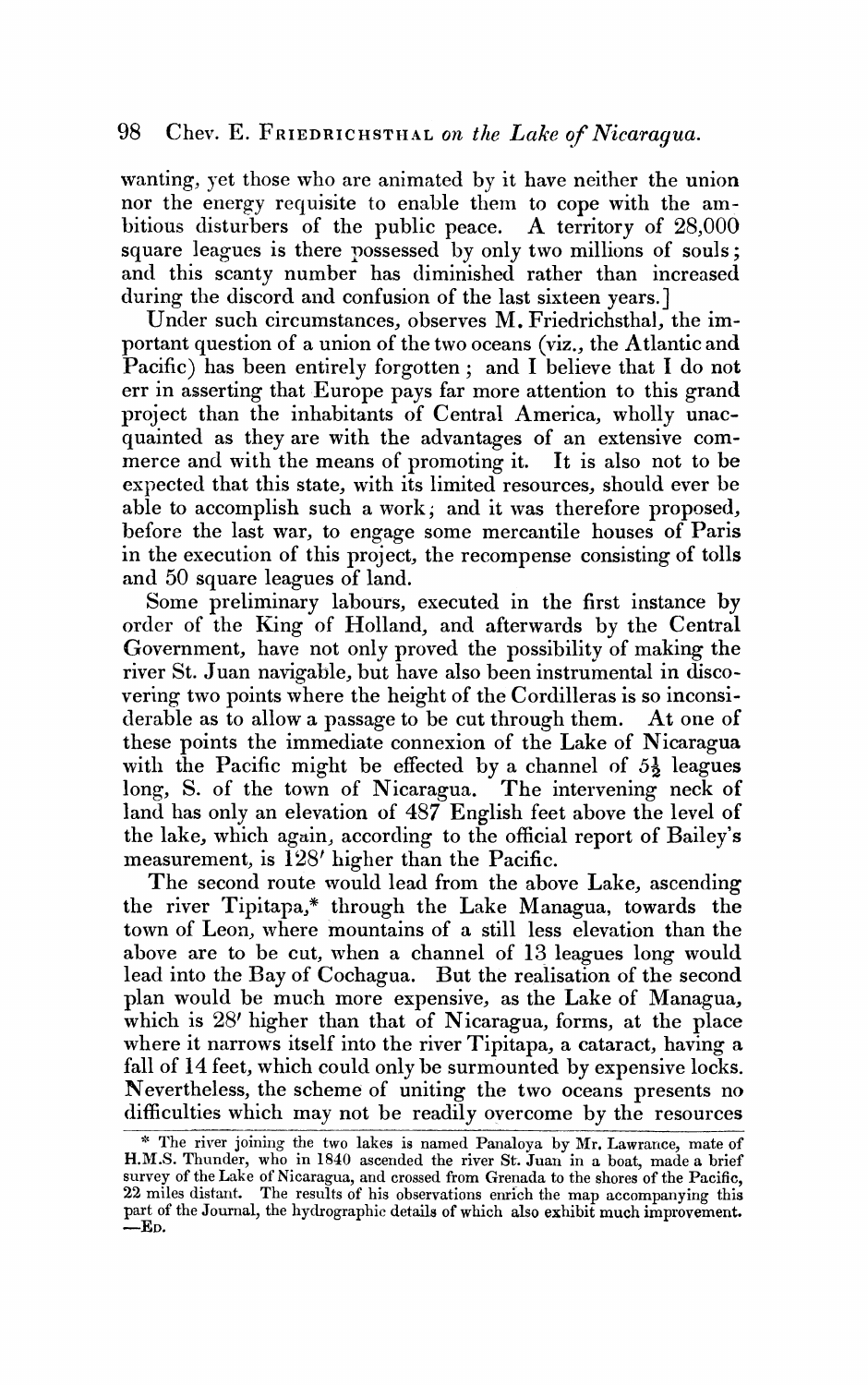wanting, yet those who are animated by it have neither the union nor the energy requisite to enable them to cope with the am**bitious disturbers of the public peace. A territory of 28,000**  square leagues is there possessed by only two millions of souls; and this scanty number has diminished rather than increased during the discord and confusion of the last sixteen years.]

**Under such circumstances, observes M. Friedrichsthal, the important question of a union of the two oceans (viz., the Atlantic and Pacific) has been entirely forgotten; and I believe that I do not err in asserting that;Europe pays far more attention to this grand project than the inhabitants of Central America, wholly unac**quainted as they are with the advantages of an extensive commerce and with the means of promoting it. It is also not to be expected that this state, with its limited resources, should ever be able to accomplish such a work; and it was therefore proposed, before the last war, to engage some mercantile houses of Paris **in the execution of this project, the recompense consisting of tolls and 50 square leagues of land.** 

**Some preliminary labours, executed in the first instance by order of the King of Holland, and afterwards by the Central Government, have not only proved the possibility of making the river St. Juan navigable, but have also been instrumental in discovering two points where the height of the Cordilleras is so inconsiderable as to allow a passage to be cut through them. At one of these points the immediate connexion of the Lake of Nicaragua**  with the Pacific might be effected by a channel of  $5\frac{1}{2}$  leagues **long, S. of the town of Nicaragua. The intervening neck of**  land has only an elevation of  $487$  English feet above the level of **the lake, which again, according to the official report of Bailey's**  measurement, is  $128'$  higher than the Pacific.

**The second route would lead from the above Lake, ascending the river Tipitapa,\* through the Lake Managua, towards the town of Leon, where mountains of a still less elevation than the alsove are to be cut, when a channel of 13 leagues long would lead into the Bay of Cochagua. But the realisation of the second plan xvould be much more expensive, as the Lake of Managua, which is 28' higher than that of Nicaragua, forms, at the place where it narrows itself into the river Tipitapa, a cataract, having a**  fall of 14 feet, which could only be surmounted by expensive locks. **Nevertheless, the scheme of uniting the two oceans presents no**  difficulties which may not be readily overcome by the resources

<sup>\*</sup> The river joining the two lakes is named Panaloya by Mr. Lawrance, mate of **H.M.S. Thunder, who in 1840 ascerlded the river St. Juan in a boat, made a brief**  survey of the Lake of Nicaragua, and crossed from Grenada to the shores of the Pacific, **22 miles distarlt. The results of his observations enrich the map accompanying this part of the Journal, the hydrographic details of which also exhibit much improvements ED.**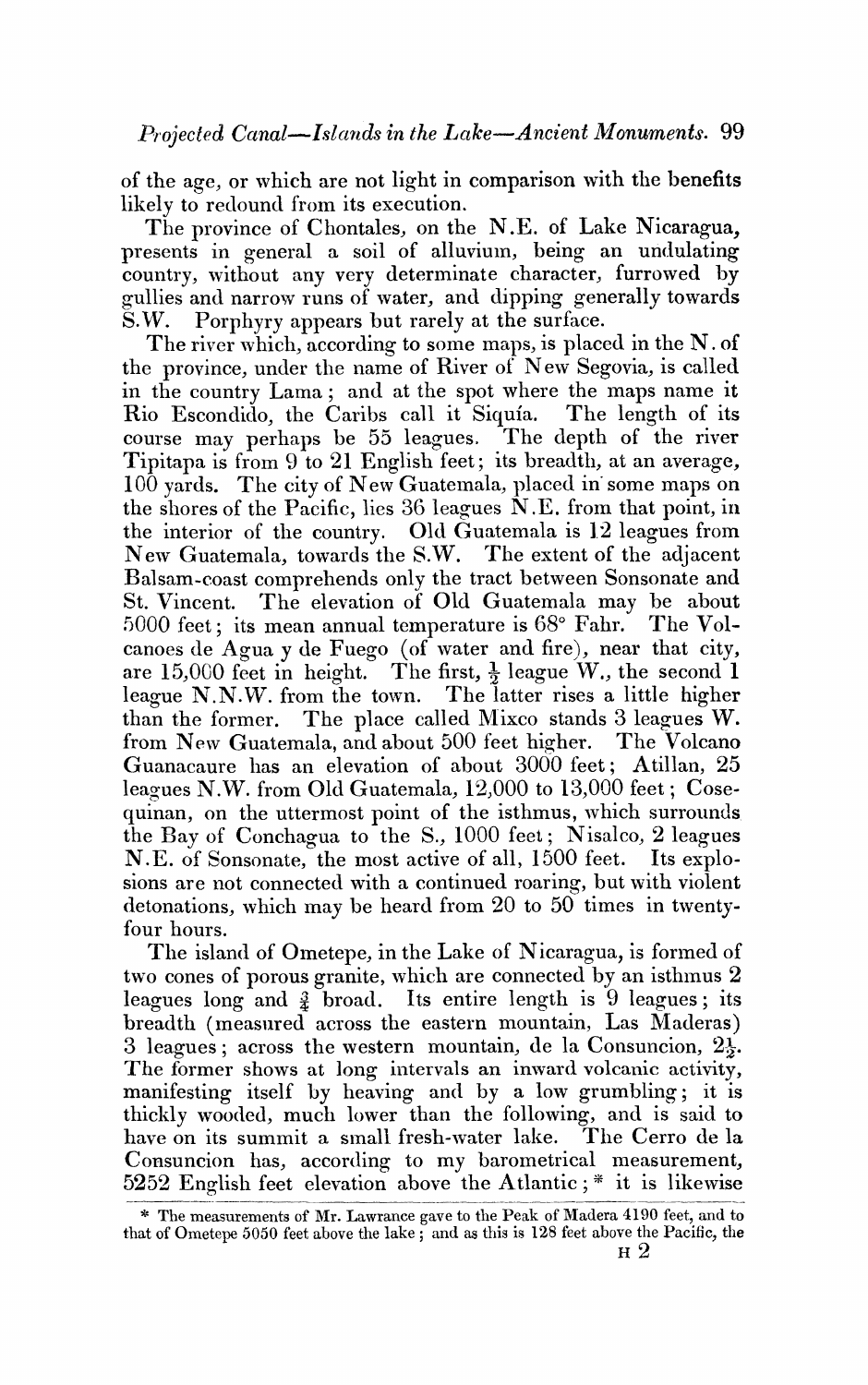of the age, or which are not light in comparison with the benefits likely to redound from its execution.

The province of Chontales, on the N.E. of Lake Nicaragua, presents in general a soil of alluvium, being an undulating country, without any very determinate character, furrowed by gullies and narrow runs of water, and dipping generally towards **S.W. Porphyry appears but rarely at the surface.** 

The river which, according to some maps, is placed in the N. of **the province, under the name of River of New Segovia, is called in the country Lama; and at the spot where the maps name it**  Rio Escondido, the Caribs call it Siquía. course may perhaps be 55 leagues. The depth of the river Tipitapa is from 9 to 21 English feet; its breadth, at an average, 100 yards. The city of New Guatemala, placed in some maps on the shores of the Pacific, lies 36 leagues N.E. from that point, in the interior of the country. Old Guatemala is 12 leagues from New Guatemala, towards the S.W. The extent of the adjacent **Balsam coast comprehends only the tract between Sonsonate and**  St. Vincent. The elevation of Old Guatemala may be about 5000 feet; its mean annual temperature is 68° Fahr. The Volcanoes de Agua y de Fuego (of water and fire), near that city, are 15,000 feet in height. The first,  $\frac{1}{2}$  league W., the second 1 **league N.N.W. from the town. The latter rises a little higher**  than the former. The place called Mixco stands 3 leagues W. from New Guatemala, and about 500 feet higher. The Volcano Guanacaure has an elevation of about 3000 feet; Atillan, 25 leagues N.W. from Old Guatemala, 12,000 to 13,000 feet; Cosequinan, on the uttermost point of the isthmus, which surrounds the Bay of Conchagua to the S., 1000 feet; Nisalco, 2 leagues N.E. of Sonsonate, the most active of all, 1500 feet. Its explosions are not connected with a continued roaring, but with violent **letonations, svhich may be heard from 20 to 50 times in twentyfour hours.** 

The island of Ometepe, in the Lake of Nicaragua, is formed of two cones of porous granite, which are connected by an isthmus 2 **leagues long and 4 broad. Its entire length is 9 leagues; its**  breadth (measured across the eastern mountain, Las Maderas) 3 leagues; across the western mountain, de la Consuncion,  $2\frac{1}{2}$ . The former shows at long intervals an inward volcanic activity, manifesting itself by heaving and by a low grumbling; it is thickly wooded, much lower than the following, and is said to have on its summit a small fresh-water lake. The Cerro de la Consuncion has, according to my barometrical measurement, **5252 English feet elevation above the Atlantic;**  $*$  **it is likewise** 

**<sup>\*</sup> The measurements of Mr. Lawrance gave to the Peak of AIadera 4190 feet, and to**  that of Ometepe 5050 feet above the lake; and as this is  $128$  feet above the Pacific, the